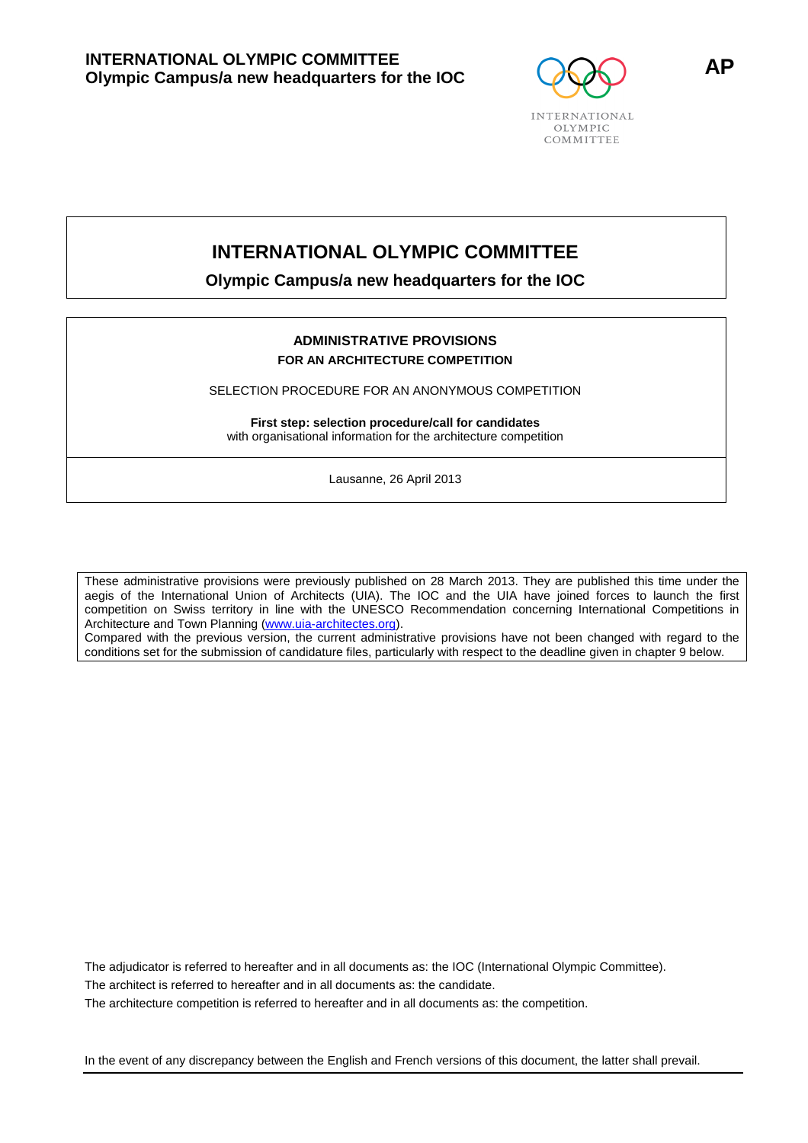

# **INTERNATIONAL OLYMPIC COMMITTEE**

**Olympic Campus/a new headquarters for the IOC** 

### **ADMINISTRATIVE PROVISIONS FOR AN ARCHITECTURE COMPETITION**

SELECTION PROCEDURE FOR AN ANONYMOUS COMPETITION

**First step: selection procedure/call for candidates** with organisational information for the architecture competition

Lausanne, 26 April 2013

These administrative provisions were previously published on 28 March 2013. They are published this time under the aegis of the International Union of Architects (UIA). The IOC and the UIA have joined forces to launch the first competition on Swiss territory in line with the UNESCO Recommendation concerning International Competitions in Architecture and Town Planning (www.uia-architectes.org).

Compared with the previous version, the current administrative provisions have not been changed with regard to the conditions set for the submission of candidature files, particularly with respect to the deadline given in chapter 9 below.

The adjudicator is referred to hereafter and in all documents as: the IOC (International Olympic Committee). The architect is referred to hereafter and in all documents as: the candidate.

The architecture competition is referred to hereafter and in all documents as: the competition.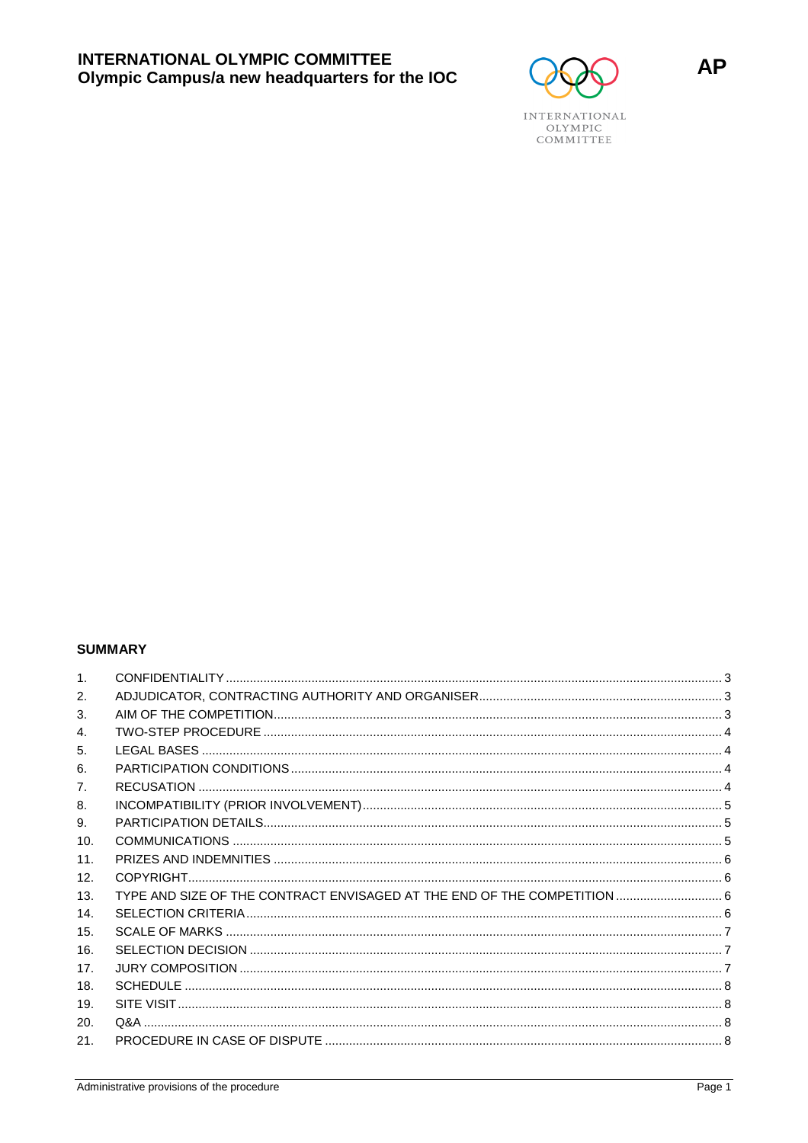

# **SUMMARY**

| TYPE AND SIZE OF THE CONTRACT ENVISAGED AT THE END OF THE COMPETITION  6 |
|--------------------------------------------------------------------------|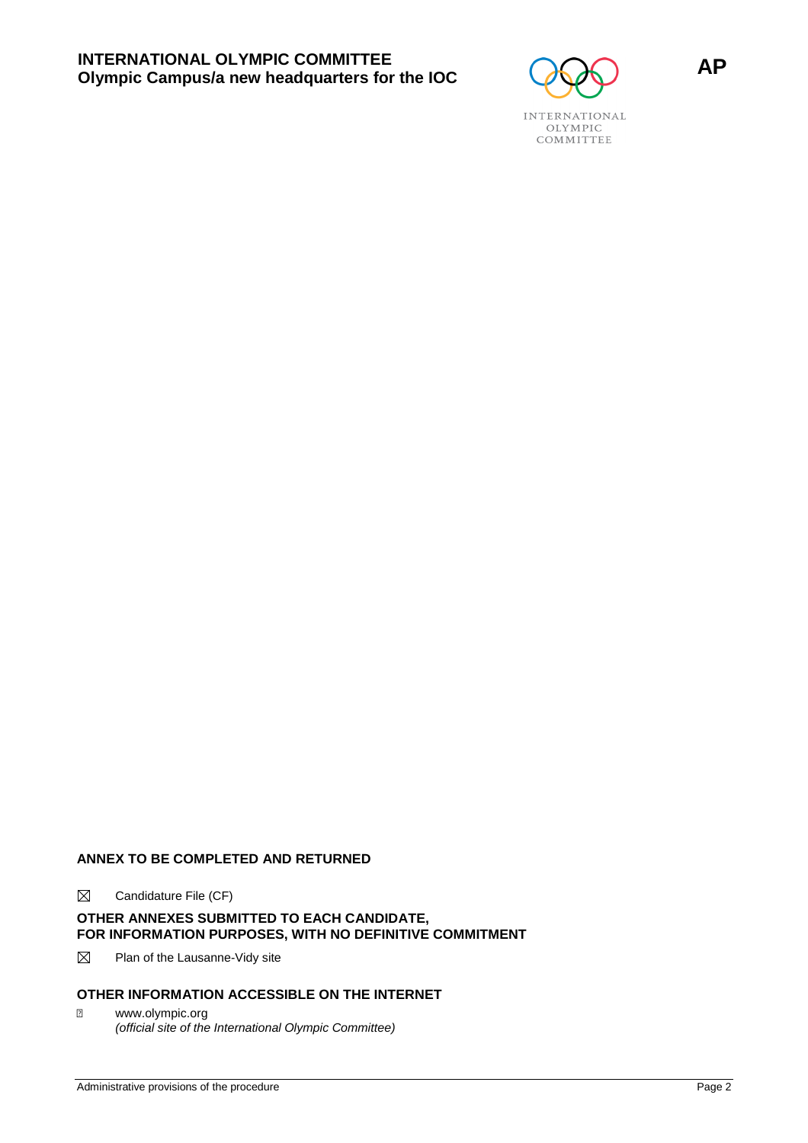

# **ANNEX TO BE COMPLETED AND RETURNED**

 $\boxtimes$  Candidature File (CF)

# **OTHER ANNEXES SUBMITTED TO EACH CANDIDATE, FOR INFORMATION PURPOSES, WITH NO DEFINITIVE COMMITMENT**

 $\boxtimes$  Plan of the Lausanne-Vidy site

# **OTHER INFORMATION ACCESSIBLE ON THE INTERNET**

 www.olympic.org (official site of the International Olympic Committee)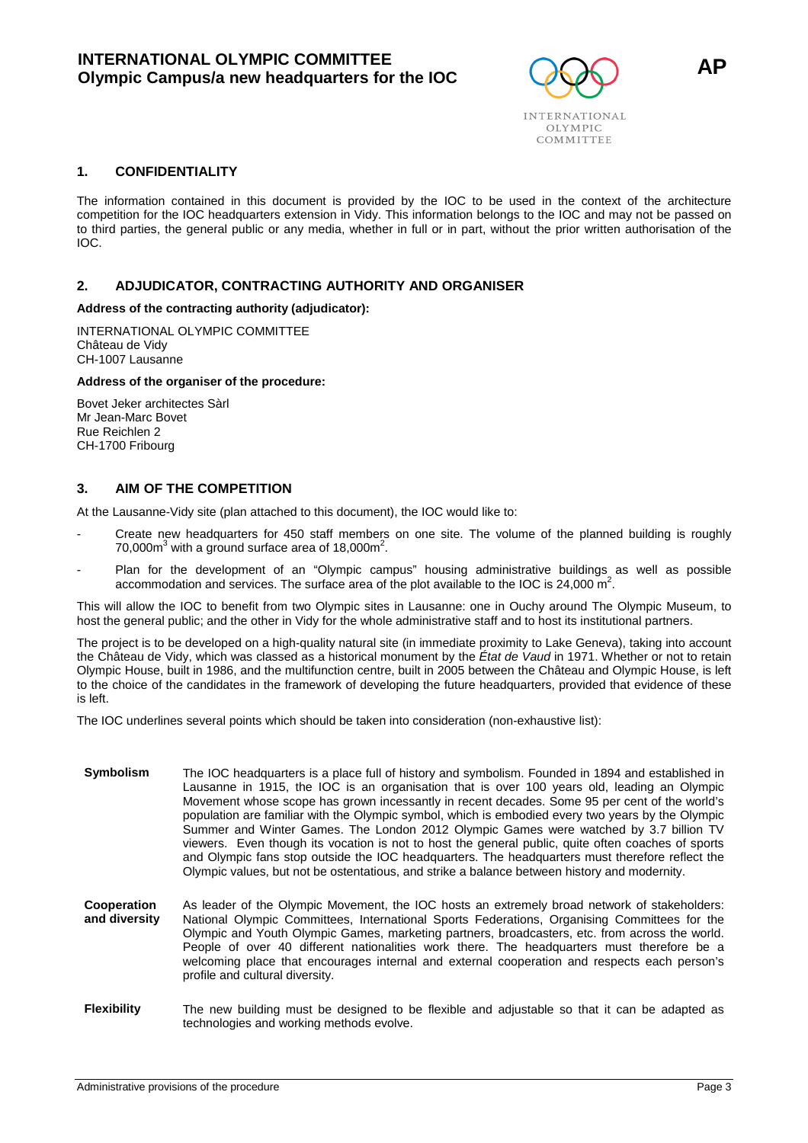

**1. CONFIDENTIALITY** 

The information contained in this document is provided by the IOC to be used in the context of the architecture competition for the IOC headquarters extension in Vidy. This information belongs to the IOC and may not be passed on to third parties, the general public or any media, whether in full or in part, without the prior written authorisation of the IOC.

#### **2. ADJUDICATOR, CONTRACTING AUTHORITY AND ORGANISER**

**Address of the contracting authority (adjudicator):**

INTERNATIONAL OLYMPIC COMMITTEE Château de Vidy CH-1007 Lausanne

#### **Address of the organiser of the procedure:**

Bovet Jeker architectes Sàrl Mr Jean-Marc Bovet Rue Reichlen 2 CH-1700 Fribourg

#### **3. AIM OF THE COMPETITION**

At the Lausanne-Vidy site (plan attached to this document), the IOC would like to:

- Create new headquarters for 450 staff members on one site. The volume of the planned building is roughly  $70,000$ m<sup>3</sup> with a ground surface area of 18,000m<sup>2</sup>.
- Plan for the development of an "Olympic campus" housing administrative buildings as well as possible accommodation and services. The surface area of the plot available to the IOC is 24,000  $\mathrm{m}^2$ .

This will allow the IOC to benefit from two Olympic sites in Lausanne: one in Ouchy around The Olympic Museum, to host the general public; and the other in Vidy for the whole administrative staff and to host its institutional partners.

The project is to be developed on a high-quality natural site (in immediate proximity to Lake Geneva), taking into account the Château de Vidy, which was classed as a historical monument by the État de Vaud in 1971. Whether or not to retain Olympic House, built in 1986, and the multifunction centre, built in 2005 between the Château and Olympic House, is left to the choice of the candidates in the framework of developing the future headquarters, provided that evidence of these is left.

The IOC underlines several points which should be taken into consideration (non-exhaustive list):

- **Symbolism** The IOC headquarters is a place full of history and symbolism. Founded in 1894 and established in Lausanne in 1915, the IOC is an organisation that is over 100 years old, leading an Olympic Movement whose scope has grown incessantly in recent decades. Some 95 per cent of the world's population are familiar with the Olympic symbol, which is embodied every two years by the Olympic Summer and Winter Games. The London 2012 Olympic Games were watched by 3.7 billion TV viewers. Even though its vocation is not to host the general public, quite often coaches of sports and Olympic fans stop outside the IOC headquarters. The headquarters must therefore reflect the Olympic values, but not be ostentatious, and strike a balance between history and modernity.
- **Cooperation and diversity**  As leader of the Olympic Movement, the IOC hosts an extremely broad network of stakeholders: National Olympic Committees, International Sports Federations, Organising Committees for the Olympic and Youth Olympic Games, marketing partners, broadcasters, etc. from across the world. People of over 40 different nationalities work there. The headquarters must therefore be a welcoming place that encourages internal and external cooperation and respects each person's profile and cultural diversity.
- **Flexibility** The new building must be designed to be flexible and adjustable so that it can be adapted as technologies and working methods evolve.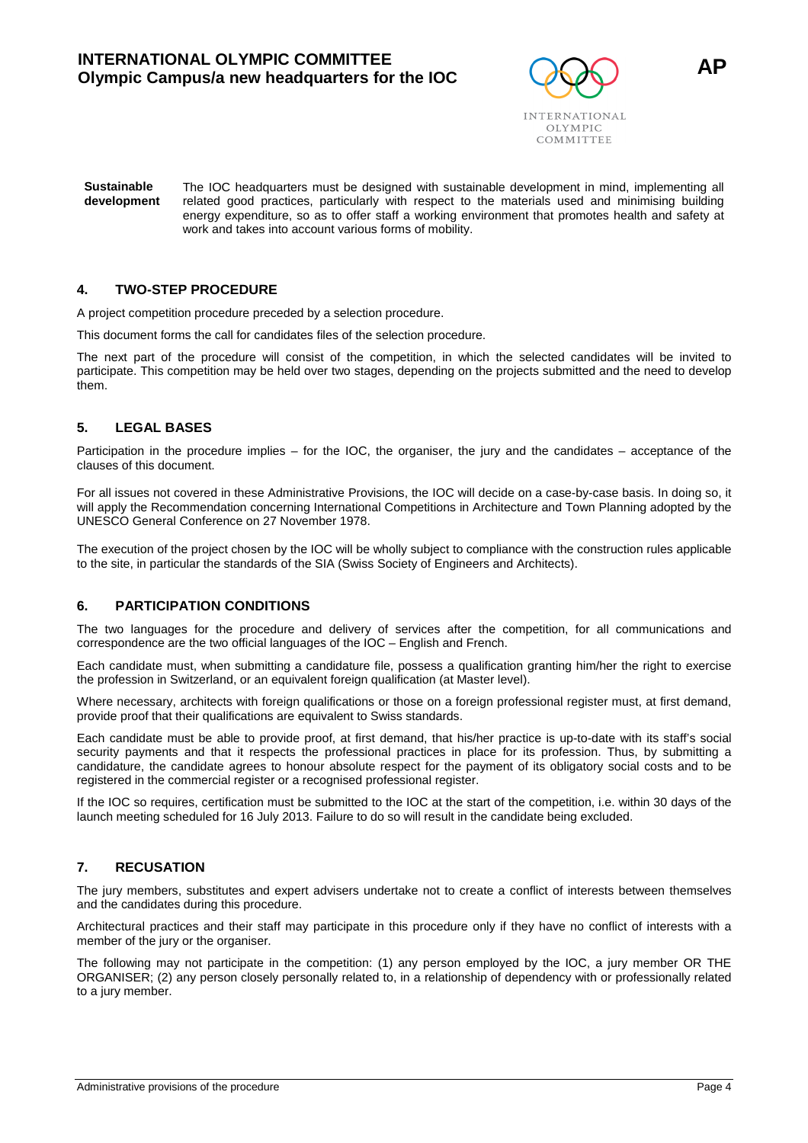

**Sustainable development**  The IOC headquarters must be designed with sustainable development in mind, implementing all related good practices, particularly with respect to the materials used and minimising building energy expenditure, so as to offer staff a working environment that promotes health and safety at work and takes into account various forms of mobility.

#### **4. TWO-STEP PROCEDURE**

A project competition procedure preceded by a selection procedure.

This document forms the call for candidates files of the selection procedure.

The next part of the procedure will consist of the competition, in which the selected candidates will be invited to participate. This competition may be held over two stages, depending on the projects submitted and the need to develop them.

#### **5. LEGAL BASES**

Participation in the procedure implies – for the IOC, the organiser, the jury and the candidates – acceptance of the clauses of this document.

For all issues not covered in these Administrative Provisions, the IOC will decide on a case-by-case basis. In doing so, it will apply the Recommendation concerning International Competitions in Architecture and Town Planning adopted by the UNESCO General Conference on 27 November 1978.

The execution of the project chosen by the IOC will be wholly subject to compliance with the construction rules applicable to the site, in particular the standards of the SIA (Swiss Society of Engineers and Architects).

#### **6. PARTICIPATION CONDITIONS**

The two languages for the procedure and delivery of services after the competition, for all communications and correspondence are the two official languages of the IOC – English and French.

Each candidate must, when submitting a candidature file, possess a qualification granting him/her the right to exercise the profession in Switzerland, or an equivalent foreign qualification (at Master level).

Where necessary, architects with foreign qualifications or those on a foreign professional register must, at first demand, provide proof that their qualifications are equivalent to Swiss standards.

Each candidate must be able to provide proof, at first demand, that his/her practice is up-to-date with its staff's social security payments and that it respects the professional practices in place for its profession. Thus, by submitting a candidature, the candidate agrees to honour absolute respect for the payment of its obligatory social costs and to be registered in the commercial register or a recognised professional register.

If the IOC so requires, certification must be submitted to the IOC at the start of the competition, i.e. within 30 days of the launch meeting scheduled for 16 July 2013. Failure to do so will result in the candidate being excluded.

#### **7. RECUSATION**

The jury members, substitutes and expert advisers undertake not to create a conflict of interests between themselves and the candidates during this procedure.

Architectural practices and their staff may participate in this procedure only if they have no conflict of interests with a member of the jury or the organiser.

The following may not participate in the competition: (1) any person employed by the IOC, a jury member OR THE ORGANISER; (2) any person closely personally related to, in a relationship of dependency with or professionally related to a jury member.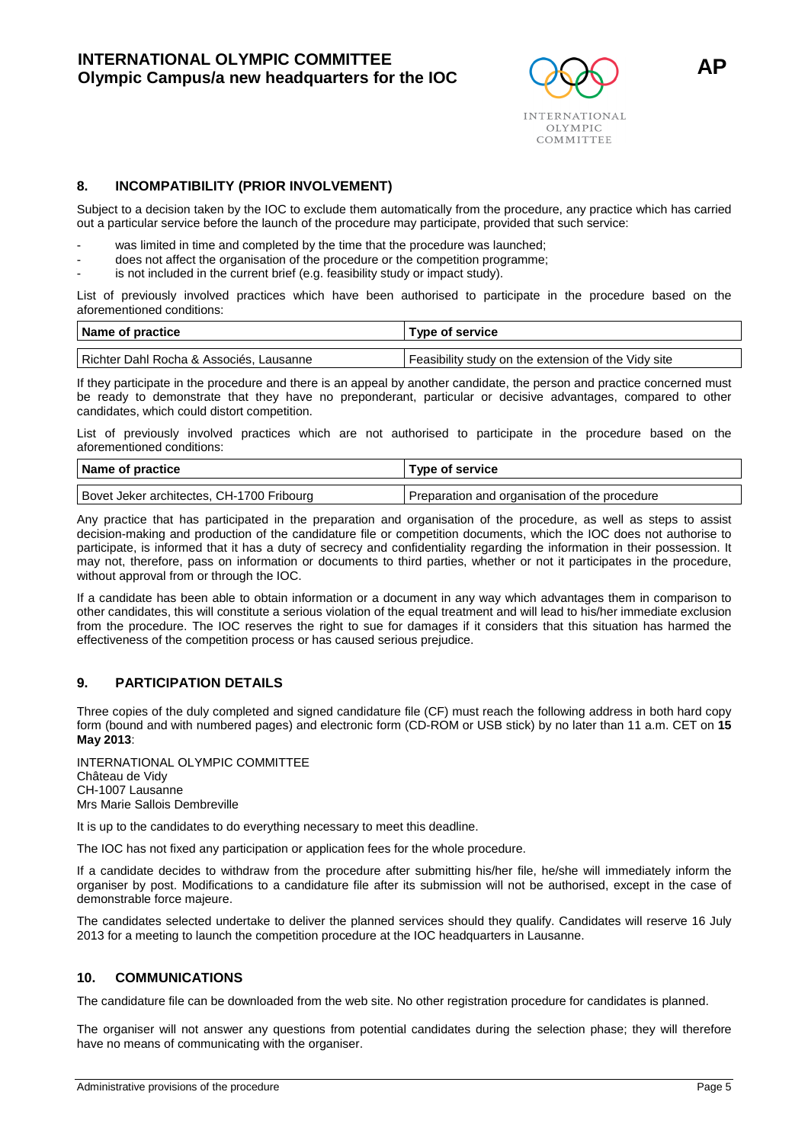

#### **8. INCOMPATIBILITY (PRIOR INVOLVEMENT)**

Subject to a decision taken by the IOC to exclude them automatically from the procedure, any practice which has carried out a particular service before the launch of the procedure may participate, provided that such service:

- was limited in time and completed by the time that the procedure was launched;
- does not affect the organisation of the procedure or the competition programme;
- is not included in the current brief (e.g. feasibility study or impact study).

List of previously involved practices which have been authorised to participate in the procedure based on the aforementioned conditions:

| Name of practice                        | Type of service                                     |  |
|-----------------------------------------|-----------------------------------------------------|--|
|                                         |                                                     |  |
| Richter Dahl Rocha & Associés, Lausanne | Feasibility study on the extension of the Vidy site |  |

If they participate in the procedure and there is an appeal by another candidate, the person and practice concerned must be ready to demonstrate that they have no preponderant, particular or decisive advantages, compared to other candidates, which could distort competition.

List of previously involved practices which are not authorised to participate in the procedure based on the aforementioned conditions:

| Name of practice                          | Type of service                               |  |
|-------------------------------------------|-----------------------------------------------|--|
| Bovet Jeker architectes, CH-1700 Fribourg | Preparation and organisation of the procedure |  |

Any practice that has participated in the preparation and organisation of the procedure, as well as steps to assist decision-making and production of the candidature file or competition documents, which the IOC does not authorise to participate, is informed that it has a duty of secrecy and confidentiality regarding the information in their possession. It may not, therefore, pass on information or documents to third parties, whether or not it participates in the procedure, without approval from or through the IOC.

If a candidate has been able to obtain information or a document in any way which advantages them in comparison to other candidates, this will constitute a serious violation of the equal treatment and will lead to his/her immediate exclusion from the procedure. The IOC reserves the right to sue for damages if it considers that this situation has harmed the effectiveness of the competition process or has caused serious prejudice.

#### **9. PARTICIPATION DETAILS**

Three copies of the duly completed and signed candidature file (CF) must reach the following address in both hard copy form (bound and with numbered pages) and electronic form (CD-ROM or USB stick) by no later than 11 a.m. CET on **15 May 2013**:

INTERNATIONAL OLYMPIC COMMITTEE Château de Vidy CH-1007 Lausanne Mrs Marie Sallois Dembreville

It is up to the candidates to do everything necessary to meet this deadline.

The IOC has not fixed any participation or application fees for the whole procedure.

If a candidate decides to withdraw from the procedure after submitting his/her file, he/she will immediately inform the organiser by post. Modifications to a candidature file after its submission will not be authorised, except in the case of demonstrable force majeure.

The candidates selected undertake to deliver the planned services should they qualify. Candidates will reserve 16 July 2013 for a meeting to launch the competition procedure at the IOC headquarters in Lausanne.

#### **10. COMMUNICATIONS**

The candidature file can be downloaded from the web site. No other registration procedure for candidates is planned.

The organiser will not answer any questions from potential candidates during the selection phase; they will therefore have no means of communicating with the organiser.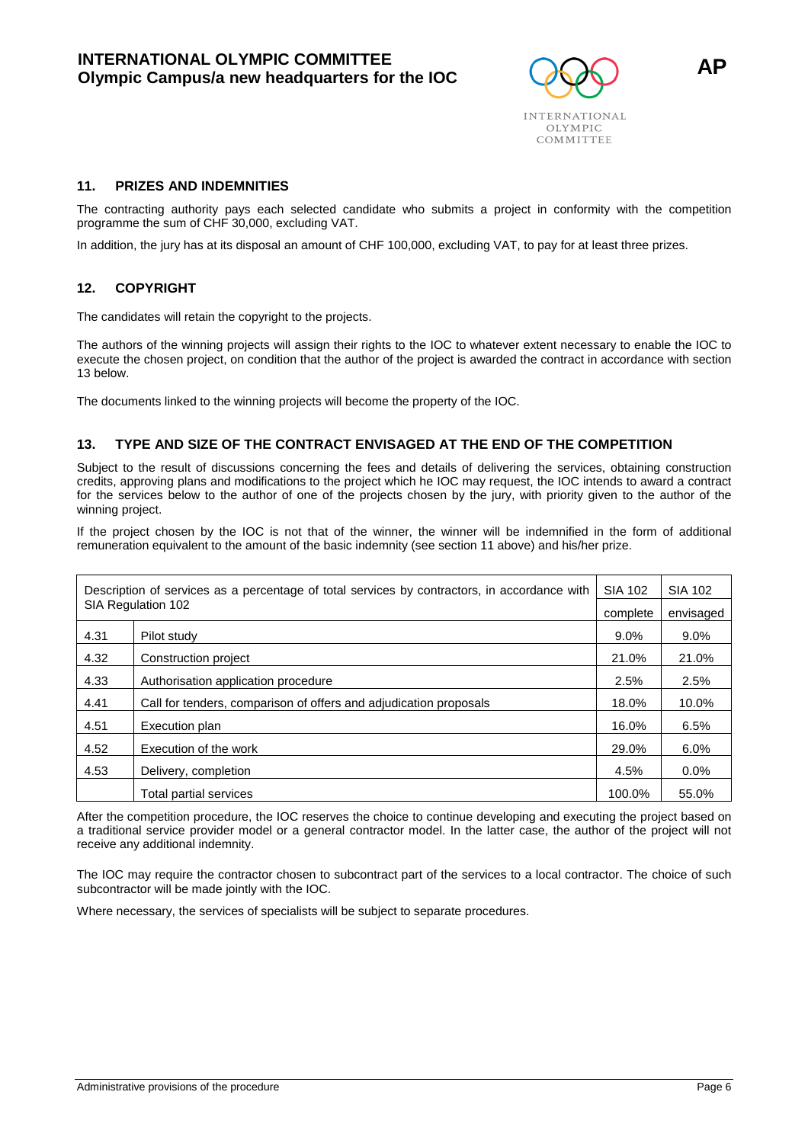

#### **11. PRIZES AND INDEMNITIES**

The contracting authority pays each selected candidate who submits a project in conformity with the competition programme the sum of CHF 30,000, excluding VAT.

In addition, the jury has at its disposal an amount of CHF 100,000, excluding VAT, to pay for at least three prizes.

#### **12. COPYRIGHT**

The candidates will retain the copyright to the projects.

The authors of the winning projects will assign their rights to the IOC to whatever extent necessary to enable the IOC to execute the chosen project, on condition that the author of the project is awarded the contract in accordance with section 13 below.

The documents linked to the winning projects will become the property of the IOC.

#### **13. TYPE AND SIZE OF THE CONTRACT ENVISAGED AT THE END OF THE COMPETITION**

Subject to the result of discussions concerning the fees and details of delivering the services, obtaining construction credits, approving plans and modifications to the project which he IOC may request, the IOC intends to award a contract for the services below to the author of one of the projects chosen by the jury, with priority given to the author of the winning project.

If the project chosen by the IOC is not that of the winner, the winner will be indemnified in the form of additional remuneration equivalent to the amount of the basic indemnity (see section 11 above) and his/her prize.

| Description of services as a percentage of total services by contractors, in accordance with |                                                                   | <b>SIA 102</b> | SIA 102   |
|----------------------------------------------------------------------------------------------|-------------------------------------------------------------------|----------------|-----------|
|                                                                                              | SIA Regulation 102                                                | complete       | envisaged |
| 4.31                                                                                         | Pilot study                                                       | $9.0\%$        | $9.0\%$   |
| 4.32                                                                                         | Construction project                                              | 21.0%          | 21.0%     |
| 4.33                                                                                         | Authorisation application procedure                               | 2.5%           | 2.5%      |
| 4.41                                                                                         | Call for tenders, comparison of offers and adjudication proposals | 18.0%          | 10.0%     |
| 4.51                                                                                         | Execution plan                                                    | 16.0%          | 6.5%      |
| 4.52                                                                                         | Execution of the work                                             | 29.0%          | 6.0%      |
| 4.53                                                                                         | Delivery, completion                                              | 4.5%           | $0.0\%$   |
|                                                                                              | Total partial services                                            | 100.0%         | 55.0%     |

After the competition procedure, the IOC reserves the choice to continue developing and executing the project based on a traditional service provider model or a general contractor model. In the latter case, the author of the project will not receive any additional indemnity.

The IOC may require the contractor chosen to subcontract part of the services to a local contractor. The choice of such subcontractor will be made jointly with the IOC.

Where necessary, the services of specialists will be subject to separate procedures.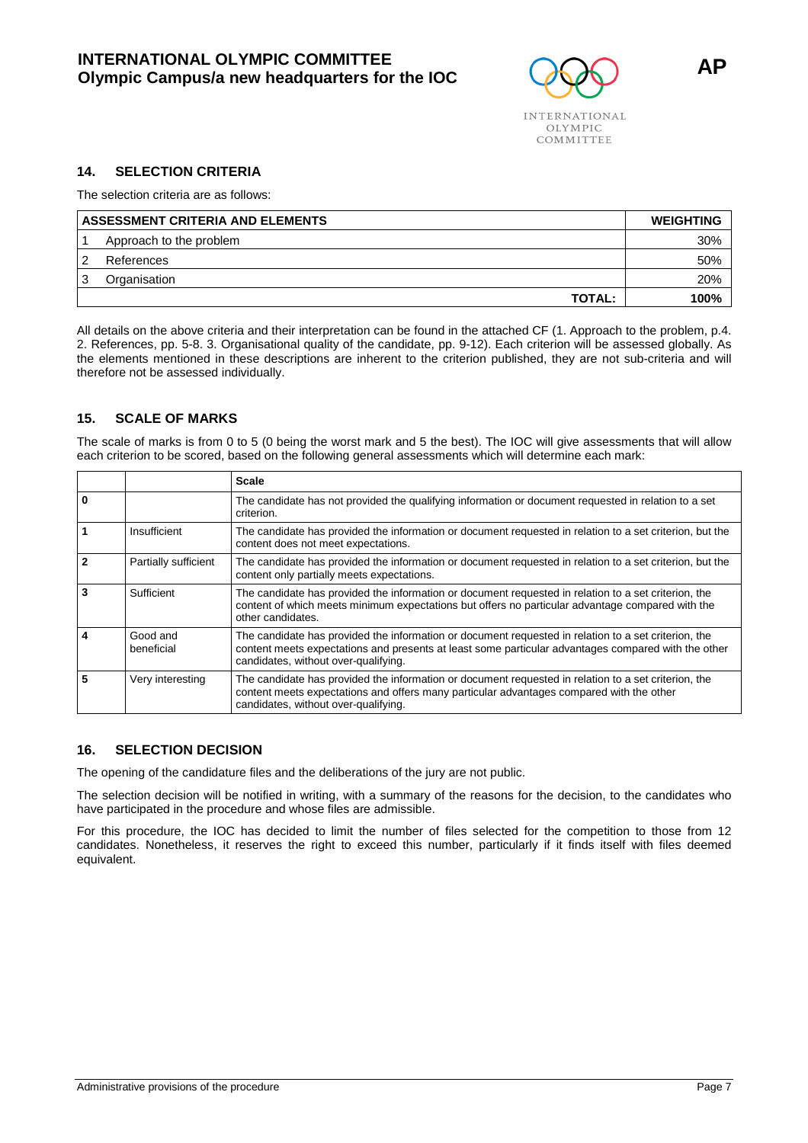

The selection criteria are as follows:

| ASSESSMENT CRITERIA AND ELEMENTS | <b>WEIGHTING</b>        |      |
|----------------------------------|-------------------------|------|
|                                  | Approach to the problem | 30%  |
| ົ                                | References              | 50%  |
|                                  | Organisation            | 20%  |
|                                  | <b>TOTAL:</b>           | 100% |

All details on the above criteria and their interpretation can be found in the attached CF (1. Approach to the problem, p.4. 2. References, pp. 5-8. 3. Organisational quality of the candidate, pp. 9-12). Each criterion will be assessed globally. As the elements mentioned in these descriptions are inherent to the criterion published, they are not sub-criteria and will therefore not be assessed individually.

### **15. SCALE OF MARKS**

The scale of marks is from 0 to 5 (0 being the worst mark and 5 the best). The IOC will give assessments that will allow each criterion to be scored, based on the following general assessments which will determine each mark:

|              |                        | <b>Scale</b>                                                                                                                                                                                                                                        |
|--------------|------------------------|-----------------------------------------------------------------------------------------------------------------------------------------------------------------------------------------------------------------------------------------------------|
| $\bf{0}$     |                        | The candidate has not provided the qualifying information or document requested in relation to a set<br>criterion.                                                                                                                                  |
|              | Insufficient           | The candidate has provided the information or document requested in relation to a set criterion, but the<br>content does not meet expectations.                                                                                                     |
| $\mathbf{2}$ | Partially sufficient   | The candidate has provided the information or document requested in relation to a set criterion, but the<br>content only partially meets expectations.                                                                                              |
| 3            | Sufficient             | The candidate has provided the information or document requested in relation to a set criterion, the<br>content of which meets minimum expectations but offers no particular advantage compared with the<br>other candidates.                       |
| 4            | Good and<br>beneficial | The candidate has provided the information or document requested in relation to a set criterion, the<br>content meets expectations and presents at least some particular advantages compared with the other<br>candidates, without over-qualifying. |
| 5            | Very interesting       | The candidate has provided the information or document requested in relation to a set criterion, the<br>content meets expectations and offers many particular advantages compared with the other<br>candidates, without over-qualifying.            |

#### **16. SELECTION DECISION**

The opening of the candidature files and the deliberations of the jury are not public.

The selection decision will be notified in writing, with a summary of the reasons for the decision, to the candidates who have participated in the procedure and whose files are admissible.

For this procedure, the IOC has decided to limit the number of files selected for the competition to those from 12 candidates. Nonetheless, it reserves the right to exceed this number, particularly if it finds itself with files deemed equivalent.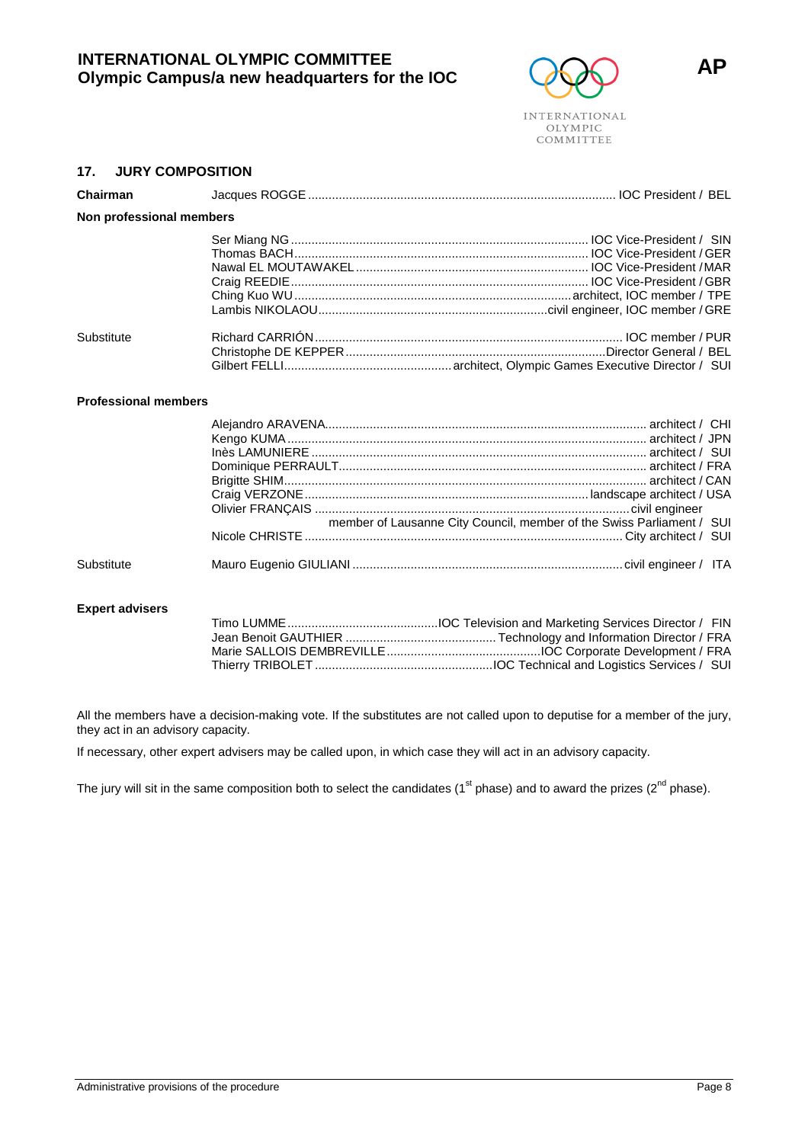# **INTERNATIONAL OLYMPIC COMMITTEE ORIGITATION COLYMPIC COMMITTEE**<br> **Olympic Campus/a new headquarters for the IOC**  $\qquad \qquad \bullet$



#### **17. JURY COMPOSITION**

| Chairman   |                          |  |  |  |  |  |
|------------|--------------------------|--|--|--|--|--|
|            | Non professional members |  |  |  |  |  |
|            |                          |  |  |  |  |  |
| Substitute |                          |  |  |  |  |  |

#### **Professional members**

|            |  | Inès LAMUNIERE ………………………………………………………………………………………… architect / SUI     |
|------------|--|-----------------------------------------------------------------------|
|            |  |                                                                       |
|            |  |                                                                       |
|            |  |                                                                       |
|            |  |                                                                       |
|            |  | member of Lausanne City Council, member of the Swiss Parliament / SUI |
|            |  |                                                                       |
| Substitute |  |                                                                       |

#### **Expert advisers**

| Thierry TRIBOLET ……………………………………………………………IOC Technical and Logistics Services / SUI |
|------------------------------------------------------------------------------------|

All the members have a decision-making vote. If the substitutes are not called upon to deputise for a member of the jury, they act in an advisory capacity.

If necessary, other expert advisers may be called upon, in which case they will act in an advisory capacity.

The jury will sit in the same composition both to select the candidates ( $1<sup>st</sup>$  phase) and to award the prizes ( $2<sup>nd</sup>$  phase).